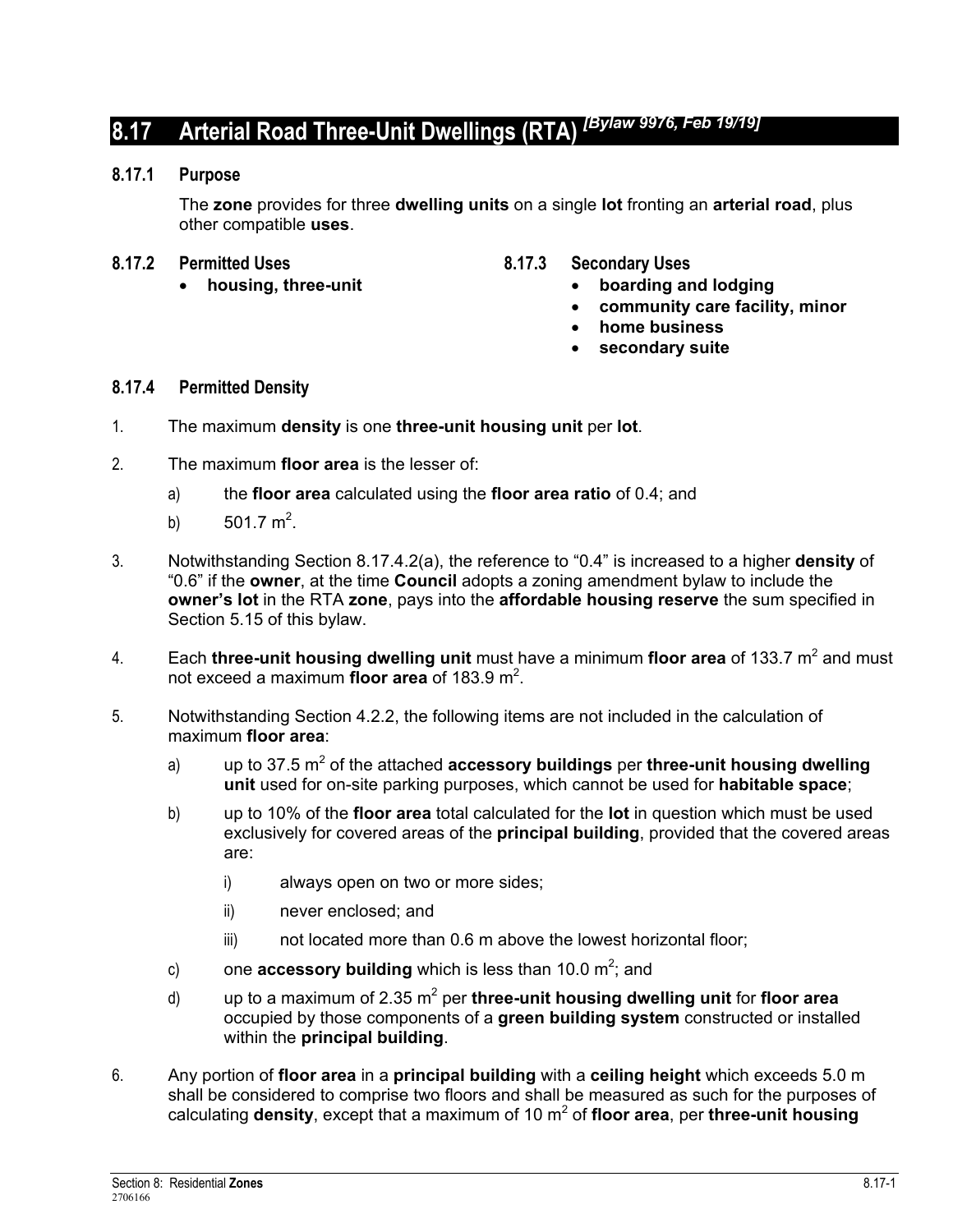# **8.17 Arterial Road Three-Unit Dwellings (RTA)** *[Bylaw 9976, Feb 19/19]*

#### **8.17.1 Purpose**

The **zone** provides for three **dwelling units** on a single **lot** fronting an **arterial road**, plus other compatible **uses**.

- 
- **8.17.2** Permitted Uses 8.17.3 Secondary Uses
	- **housing, three-unit boarding and lodging** 
		- **community care facility, minor**
		- **home business**
		- **secondary suite**

#### **8.17.4 Permitted Density**

- 1. The maximum **density** is one **three-unit housing unit** per **lot**.
- 2. The maximum **floor area** is the lesser of:
	- a) the **floor area** calculated using the **floor area ratio** of 0.4; and
	- b)  $501.7 \text{ m}^2$ .
- 3. Notwithstanding Section 8.17.4.2(a), the reference to "0.4" is increased to a higher **density** of "0.6" if the **owner**, at the time **Council** adopts a zoning amendment bylaw to include the **owner's lot** in the RTA **zone**, pays into the **affordable housing reserve** the sum specified in Section 5.15 of this bylaw.
- 4. Each **three-unit housing dwelling unit** must have a minimum floor area of 133.7 m<sup>2</sup> and must not exceed a maximum **floor area** of 183.9 m<sup>2</sup>.
- 5. Notwithstanding Section 4.2.2, the following items are not included in the calculation of maximum **floor area**:
	- a) up to 37.5 m<sup>2</sup> of the attached **accessory buildings** per **three-unit housing dwelling unit** used for on-site parking purposes, which cannot be used for **habitable space**;
	- b) up to 10% of the **floor area** total calculated for the **lot** in question which must be used exclusively for covered areas of the **principal building**, provided that the covered areas are:
		- i) always open on two or more sides;
		- ii) never enclosed; and
		- iii) not located more than 0.6 m above the lowest horizontal floor;
	- c) one **accessory building** which is less than 10.0  $m^2$ ; and
	- d) up to a maximum of 2.35 m<sup>2</sup> per **three-unit housing dwelling unit** for **floor area** occupied by those components of a **green building system** constructed or installed within the **principal building**.
- 6. Any portion of **floor area** in a **principal building** with a **ceiling height** which exceeds 5.0 m shall be considered to comprise two floors and shall be measured as such for the purposes of calculating **density**, except that a maximum of 10 m<sup>2</sup> of floor area, per three-unit housing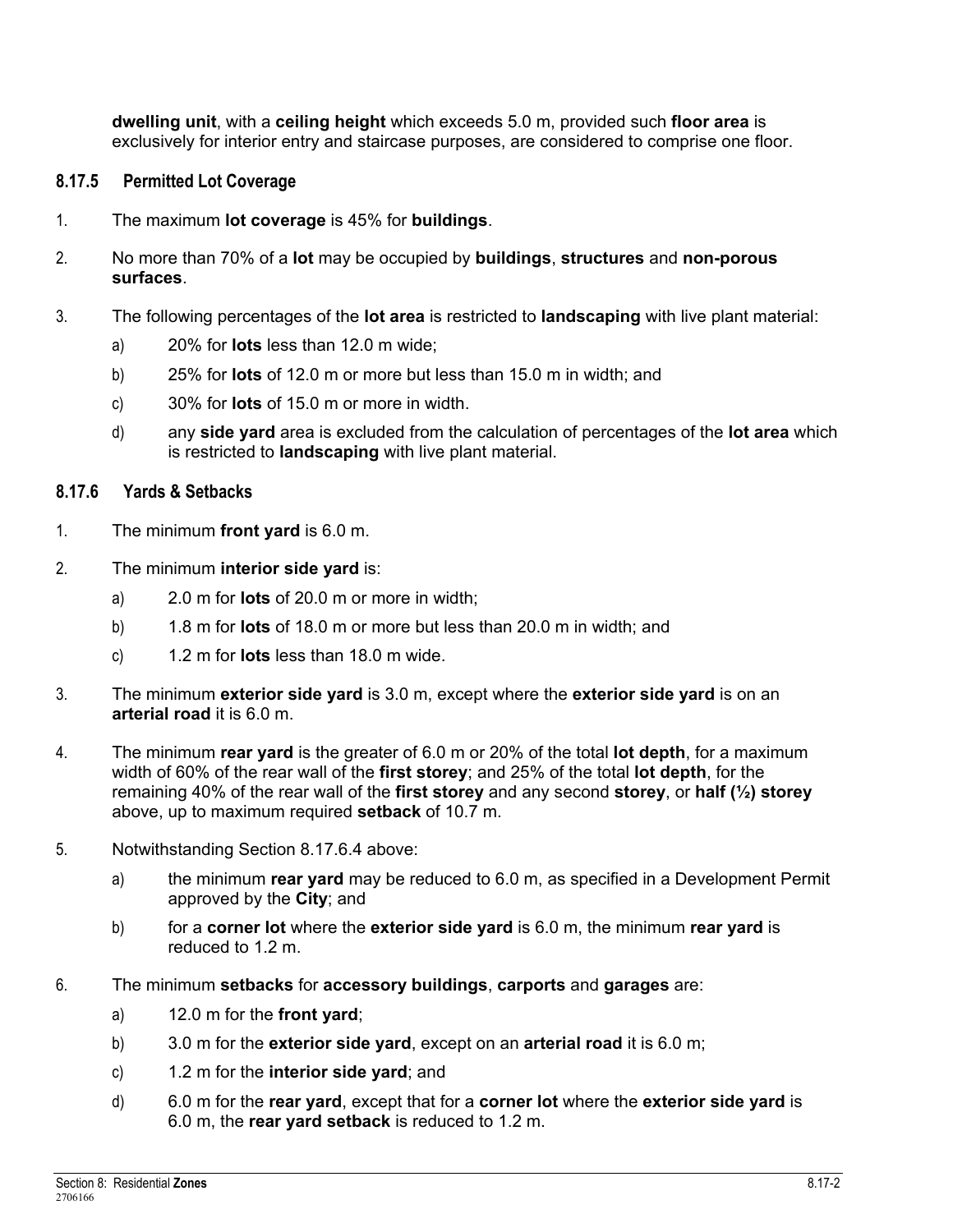**dwelling unit**, with a **ceiling height** which exceeds 5.0 m, provided such **floor area** is exclusively for interior entry and staircase purposes, are considered to comprise one floor.

# **8.17.5 Permitted Lot Coverage**

- 1. The maximum **lot coverage** is 45% for **buildings**.
- 2. No more than 70% of a **lot** may be occupied by **buildings**, **structures** and **non-porous surfaces**.
- 3. The following percentages of the **lot area** is restricted to **landscaping** with live plant material:
	- a) 20% for **lots** less than 12.0 m wide;
	- b) 25% for **lots** of 12.0 m or more but less than 15.0 m in width; and
	- c) 30% for **lots** of 15.0 m or more in width.
	- d) any **side yard** area is excluded from the calculation of percentages of the **lot area** which is restricted to **landscaping** with live plant material.

## **8.17.6 Yards & Setbacks**

- 1. The minimum **front yard** is 6.0 m.
- 2. The minimum **interior side yard** is:
	- a) 2.0 m for **lots** of 20.0 m or more in width;
	- b) 1.8 m for **lots** of 18.0 m or more but less than 20.0 m in width; and
	- c) 1.2 m for **lots** less than 18.0 m wide.
- 3. The minimum **exterior side yard** is 3.0 m, except where the **exterior side yard** is on an **arterial road** it is 6.0 m.
- 4. The minimum **rear yard** is the greater of 6.0 m or 20% of the total **lot depth**, for a maximum width of 60% of the rear wall of the **first storey**; and 25% of the total **lot depth**, for the remaining 40% of the rear wall of the **first storey** and any second **storey**, or **half (½) storey** above, up to maximum required **setback** of 10.7 m.
- 5. Notwithstanding Section 8.17.6.4 above:
	- a) the minimum **rear yard** may be reduced to 6.0 m, as specified in a Development Permit approved by the **City**; and
	- b) for a **corner lot** where the **exterior side yard** is 6.0 m, the minimum **rear yard** is reduced to 1.2 m.
- 6. The minimum **setbacks** for **accessory buildings**, **carports** and **garages** are:
	- a) 12.0 m for the **front yard**;
	- b) 3.0 m for the **exterior side yard**, except on an **arterial road** it is 6.0 m;
	- c) 1.2 m for the **interior side yard**; and
	- d) 6.0 m for the **rear yard**, except that for a **corner lot** where the **exterior side yard** is 6.0 m, the **rear yard setback** is reduced to 1.2 m.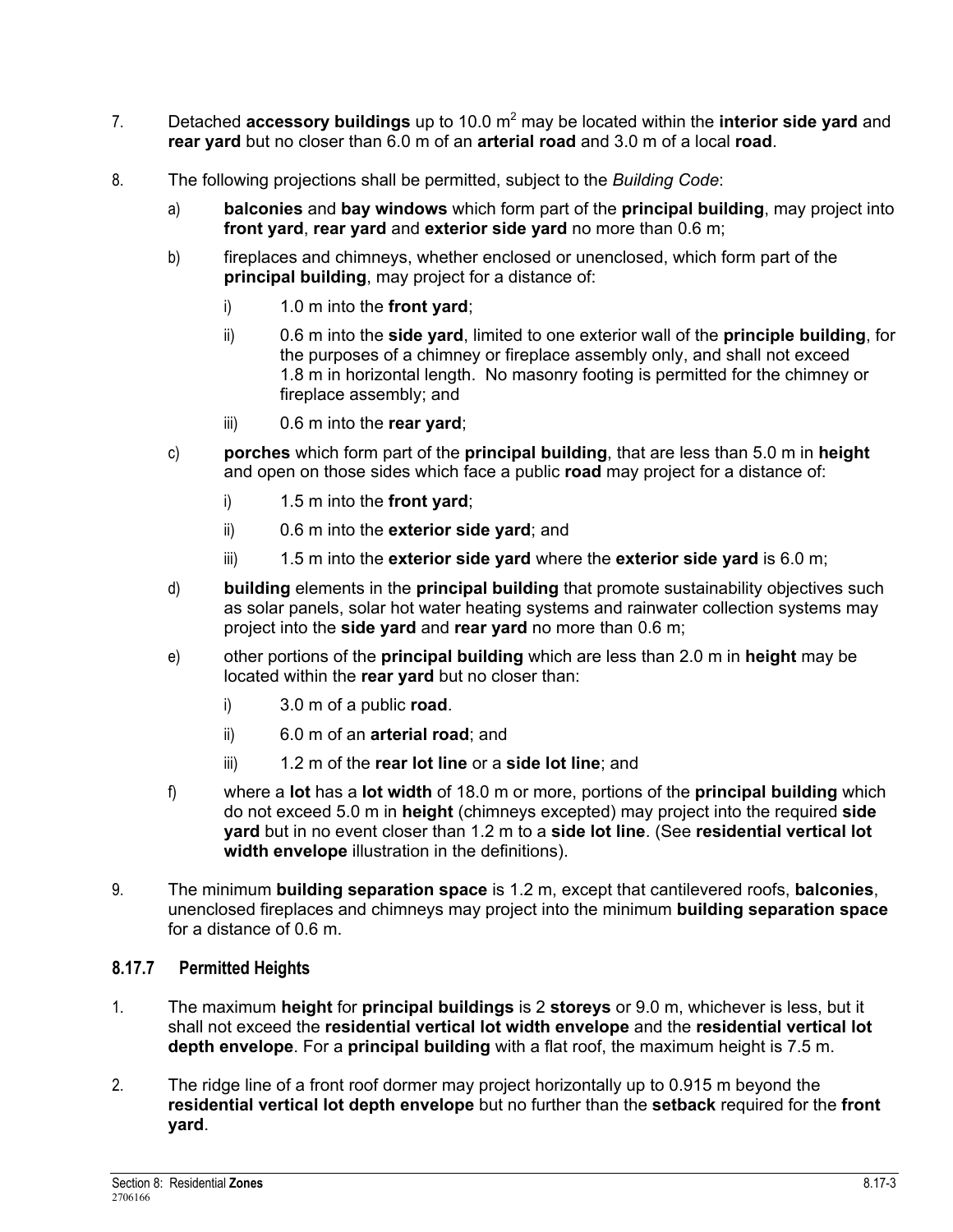- 7. Detached **accessory buildings** up to 10.0 m<sup>2</sup> may be located within the **interior side yard** and **rear yard** but no closer than 6.0 m of an **arterial road** and 3.0 m of a local **road**.
- 8. The following projections shall be permitted, subject to the *Building Code*:
	- a) **balconies** and **bay windows** which form part of the **principal building**, may project into **front yard**, **rear yard** and **exterior side yard** no more than 0.6 m;
	- b) fireplaces and chimneys, whether enclosed or unenclosed, which form part of the **principal building**, may project for a distance of:
		- i) 1.0 m into the **front yard**;
		- ii) 0.6 m into the **side yard**, limited to one exterior wall of the **principle building**, for the purposes of a chimney or fireplace assembly only, and shall not exceed 1.8 m in horizontal length. No masonry footing is permitted for the chimney or fireplace assembly; and
		- iii) 0.6 m into the **rear yard**;
	- c) **porches** which form part of the **principal building**, that are less than 5.0 m in **height** and open on those sides which face a public **road** may project for a distance of:
		- i) 1.5 m into the **front yard**;
		- ii) 0.6 m into the **exterior side yard**; and
		- iii) 1.5 m into the **exterior side yard** where the **exterior side yard** is 6.0 m;
	- d) **building** elements in the **principal building** that promote sustainability objectives such as solar panels, solar hot water heating systems and rainwater collection systems may project into the **side yard** and **rear yard** no more than 0.6 m;
	- e) other portions of the **principal building** which are less than 2.0 m in **height** may be located within the **rear yard** but no closer than:
		- i) 3.0 m of a public **road**.
		- ii) 6.0 m of an **arterial road**; and
		- iii) 1.2 m of the **rear lot line** or a **side lot line**; and
	- f) where a **lot** has a **lot width** of 18.0 m or more, portions of the **principal building** which do not exceed 5.0 m in **height** (chimneys excepted) may project into the required **side yard** but in no event closer than 1.2 m to a **side lot line**. (See **residential vertical lot width envelope** illustration in the definitions).
- 9. The minimum **building separation space** is 1.2 m, except that cantilevered roofs, **balconies**, unenclosed fireplaces and chimneys may project into the minimum **building separation space** for a distance of 0.6 m.

# **8.17.7 Permitted Heights**

- 1. The maximum **height** for **principal buildings** is 2 **storeys** or 9.0 m, whichever is less, but it shall not exceed the **residential vertical lot width envelope** and the **residential vertical lot depth envelope**. For a **principal building** with a flat roof, the maximum height is 7.5 m.
- 2. The ridge line of a front roof dormer may project horizontally up to 0.915 m beyond the **residential vertical lot depth envelope** but no further than the **setback** required for the **front yard**.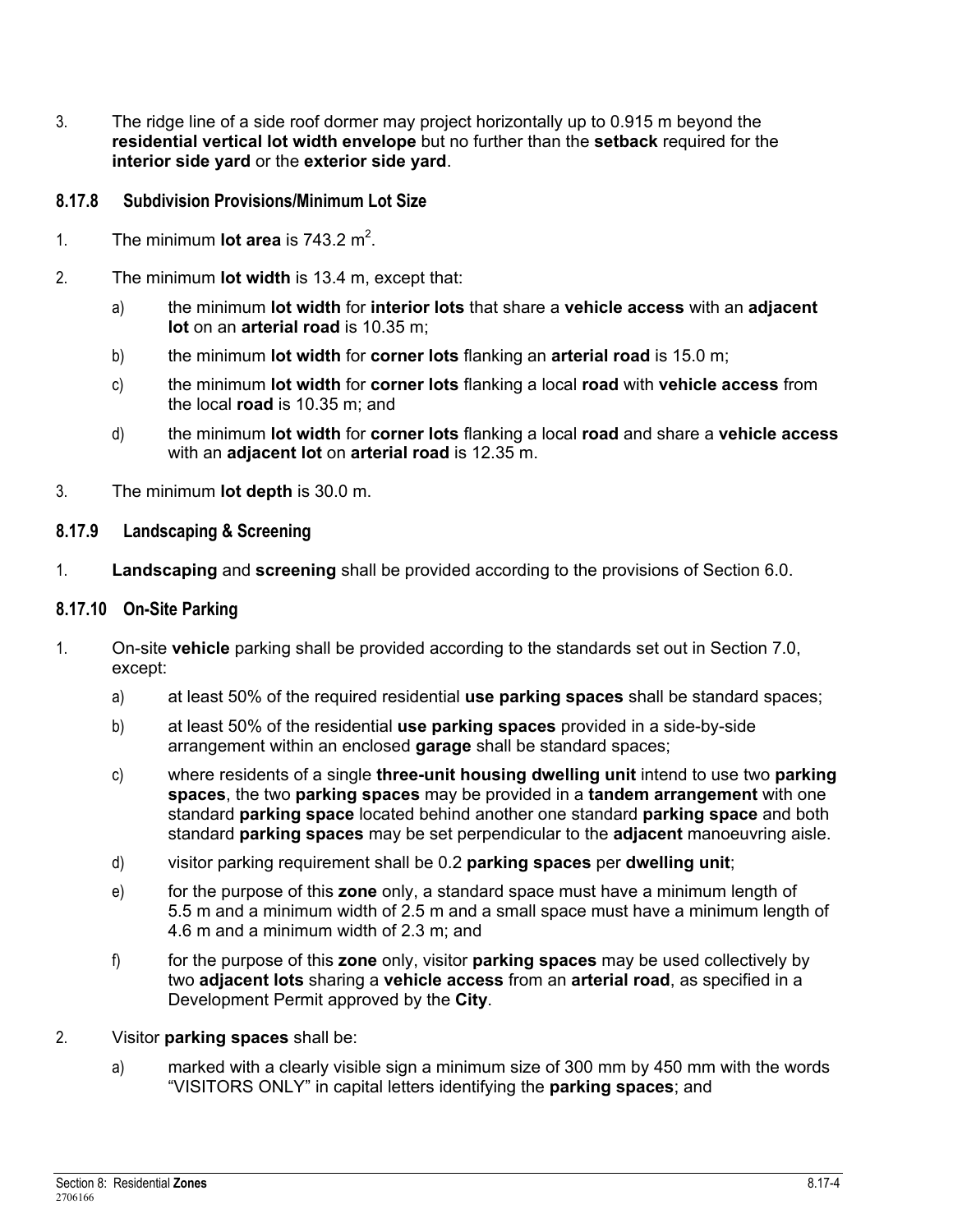3. The ridge line of a side roof dormer may project horizontally up to 0.915 m beyond the **residential vertical lot width envelope** but no further than the **setback** required for the **interior side yard** or the **exterior side yard**.

# **8.17.8 Subdivision Provisions/Minimum Lot Size**

- 1. The minimum **lot area** is  $743.2 \text{ m}^2$ .
- 2. The minimum **lot width** is 13.4 m, except that:
	- a) the minimum **lot width** for **interior lots** that share a **vehicle access** with an **adjacent lot** on an **arterial road** is 10.35 m;
	- b) the minimum **lot width** for **corner lots** flanking an **arterial road** is 15.0 m;
	- c) the minimum **lot width** for **corner lots** flanking a local **road** with **vehicle access** from the local **road** is 10.35 m; and
	- d) the minimum **lot width** for **corner lots** flanking a local **road** and share a **vehicle access** with an **adjacent lot** on **arterial road** is 12.35 m.
- 3. The minimum **lot depth** is 30.0 m.

## **8.17.9 Landscaping & Screening**

1. **Landscaping** and **screening** shall be provided according to the provisions of Section 6.0.

#### **8.17.10 On-Site Parking**

- 1. On-site **vehicle** parking shall be provided according to the standards set out in Section 7.0, except:
	- a) at least 50% of the required residential **use parking spaces** shall be standard spaces;
	- b) at least 50% of the residential **use parking spaces** provided in a side-by-side arrangement within an enclosed **garage** shall be standard spaces;
	- c) where residents of a single **three-unit housing dwelling unit** intend to use two **parking spaces**, the two **parking spaces** may be provided in a **tandem arrangement** with one standard **parking space** located behind another one standard **parking space** and both standard **parking spaces** may be set perpendicular to the **adjacent** manoeuvring aisle.
	- d) visitor parking requirement shall be 0.2 **parking spaces** per **dwelling unit**;
	- e) for the purpose of this **zone** only, a standard space must have a minimum length of 5.5 m and a minimum width of 2.5 m and a small space must have a minimum length of 4.6 m and a minimum width of 2.3 m; and
	- f) for the purpose of this **zone** only, visitor **parking spaces** may be used collectively by two **adjacent lots** sharing a **vehicle access** from an **arterial road**, as specified in a Development Permit approved by the **City**.
- 2. Visitor **parking spaces** shall be:
	- a) marked with a clearly visible sign a minimum size of 300 mm by 450 mm with the words "VISITORS ONLY" in capital letters identifying the **parking spaces**; and